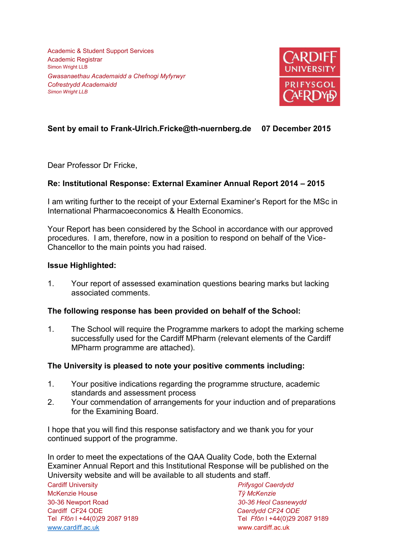Academic & Student Support Services Academic Registrar Simon Wright LLB *Gwasanaethau Academaidd a Chefnogi Myfyrwyr Cofrestrydd Academaidd Simon Wright LLB*



# **Sent by email to Frank-Ulrich.Fricke@th-nuernberg.de 07 December 2015**

Dear Professor Dr Fricke,

## **Re: Institutional Response: External Examiner Annual Report 2014 – 2015**

I am writing further to the receipt of your External Examiner's Report for the MSc in International Pharmacoeconomics & Health Economics.

Your Report has been considered by the School in accordance with our approved procedures. I am, therefore, now in a position to respond on behalf of the Vice-Chancellor to the main points you had raised.

#### **Issue Highlighted:**

1. Your report of assessed examination questions bearing marks but lacking associated comments.

#### **The following response has been provided on behalf of the School:**

1. The School will require the Programme markers to adopt the marking scheme successfully used for the Cardiff MPharm (relevant elements of the Cardiff MPharm programme are attached).

## **The University is pleased to note your positive comments including:**

- 1. Your positive indications regarding the programme structure, academic standards and assessment process
- 2. Your commendation of arrangements for your induction and of preparations for the Examining Board.

I hope that you will find this response satisfactory and we thank you for your continued support of the programme.

In order to meet the expectations of the QAA Quality Code, both the External Examiner Annual Report and this Institutional Response will be published on the University website and will be available to all students and staff.

Cardiff University *Prifysgol Caerdydd*  McKenzie House *Tŷ McKenzie*  30-36 Newport Road *30-36 Heol Casnewydd*  Cardiff CF24 ODE *Caerdydd CF24 ODE* [www.cardiff.ac.uk](http://www.cardiff.ac.uk/) www.cardiff.ac.uk

Tel *Ffôn* l +44(0)29 2087 9189 Tel *Ffôn* l +44(0)29 2087 9189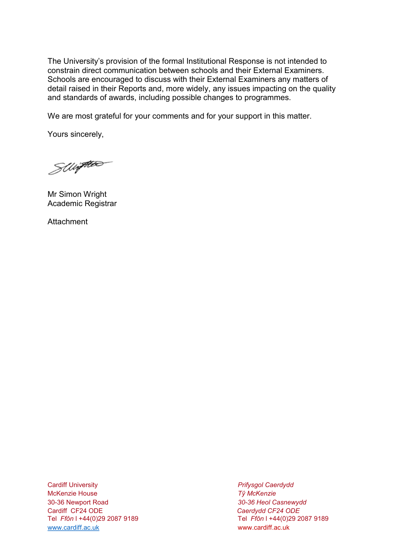The University's provision of the formal Institutional Response is not intended to constrain direct communication between schools and their External Examiners. Schools are encouraged to discuss with their External Examiners any matters of detail raised in their Reports and, more widely, any issues impacting on the quality and standards of awards, including possible changes to programmes.

We are most grateful for your comments and for your support in this matter.

Yours sincerely,

SWiften

Mr Simon Wright Academic Registrar

**Attachment** 

Cardiff University *Prifysgol Caerdydd*  McKenzie House *Tŷ McKenzie*  30-36 Newport Road *30-36 Heol Casnewydd*  Cardiff CF24 ODE *Caerdydd CF24 ODE* [www.cardiff.ac.uk](http://www.cardiff.ac.uk/) www.cardiff.ac.uk

Tel *Ffôn* l +44(0)29 2087 9189 Tel *Ffôn* l +44(0)29 2087 9189